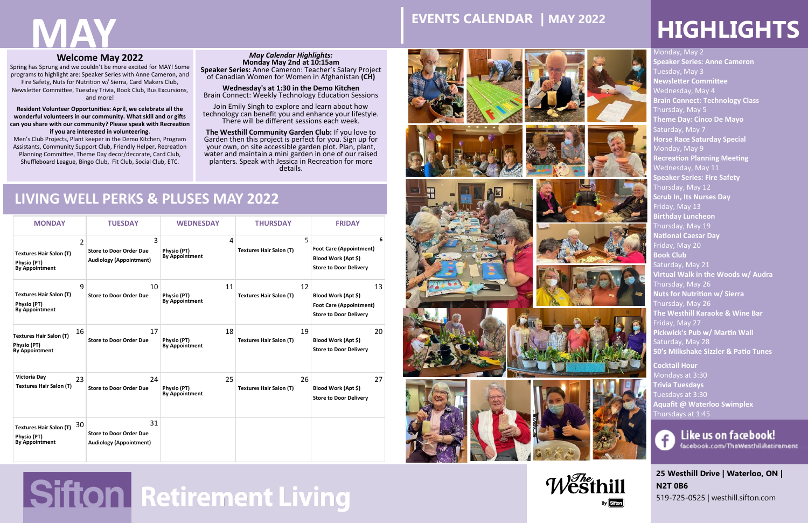**25 Westhill Drive | Waterloo, ON | N2T 0B6**

519-725-0525 | westhill.sifton.com



Monday, May 2 **Speaker Series: Anne Cameron** Tuesday, May 3 **Newsletter Committee** Wednesday, May 4 **Brain Connect: Technology Class** Thursday, May 5 **Theme Day: Cinco De Mayo** Saturday, May 7 **Horse Race Saturday Special** Monday, May 9 **Recreation Planning Meeting** Wednesday, May 11 **Speaker Series: Fire Safety** Thursday, May 12 **Scrub In, Its Nurses Day** Friday, May 13 **Birthday Luncheon** Thursday, May 19 **National Caesar Day** Friday, May 20 **Book Club**  Saturday, May 21 **Virtual Walk in the Woods w/ Audra** Thursday, May 26 **Nuts for Nutrition w/ Sierra** Thursday, May 26 **The Westhill Karaoke & Wine Bar** riday, May 27 **Pickwick's Pub w/ Martin Wall**  Saturday, May 28 **50's Milkshake Sizzler & Patio Tunes** 

**Cocktail Hour**  Mondays at 3:30 **Trivia Tuesdays**  Tuesdays at 3:30 **Aquafit @ Waterloo Swimplex** Thursdays at 1:45



Like us on facebook! facebook.com/TheWesthillRetirement

## **Welcome May 2022**

Spring has Sprung and we couldn't be more excited for MAY! Some programs to highlight are: Speaker Series with Anne Cameron, and Fire Safety, Nuts for Nutrition w/ Sierra, Card Makers Club, Newsletter Committee, Tuesday Trivia, Book Club, Bus Excursions, and more!

## **2018 LIVING WELL PERKS & PLUSES MAY 2022**

**Resident Volunteer Opportunities: April, we celebrate all the wonderful volunteers in our community. What skill and or gifts can you share with our community? Please speak with Recreation if you are interested in volunteering.** 

Men's Club Projects, Plant keeper in the Demo Kitchen, Program Assistants, Community Support Club, Friendly Helper, Recreation Planning Committee, Theme Day decor/decorate, Card Club, Shuffleboard League, Bingo Club, Fit Club, Social Club, ETC.

| <b>MONDAY</b>                                                                            | <b>TUESDAY</b>                                                         | <b>WEDNESDAY</b>                           | <b>THURSDAY</b>                      | <b>FRIDAY</b>                                                                                |
|------------------------------------------------------------------------------------------|------------------------------------------------------------------------|--------------------------------------------|--------------------------------------|----------------------------------------------------------------------------------------------|
| $\overline{2}$<br><b>Textures Hair Salon (T)</b><br>Physio (PT)<br><b>By Appointment</b> | 3<br><b>Store to Door Order Due</b><br><b>Audiology (Appointment)</b>  | 4<br>Physio (PT)<br><b>By Appointment</b>  | 5<br><b>Textures Hair Salon (T)</b>  | 6<br><b>Foot Care (Appointment)</b><br>Blood Work (Apt \$)<br><b>Store to Door Delivery</b>  |
| 9<br><b>Textures Hair Salon (T)</b><br>Physio (PT)<br><b>By Appointment</b>              | 10<br><b>Store to Door Order Due</b>                                   | 11<br>Physio (PT)<br><b>By Appointment</b> | 12<br><b>Textures Hair Salon (T)</b> | 13<br>Blood Work (Apt \$)<br><b>Foot Care (Appointment)</b><br><b>Store to Door Delivery</b> |
| 16<br><b>Textures Hair Salon (T)</b><br>Physio (PT)<br><b>By Appointment</b>             | 17<br><b>Store to Door Order Due</b>                                   | 18<br>Physio (PT)<br><b>By Appointment</b> | 19<br><b>Textures Hair Salon (T)</b> | 20<br>Blood Work (Apt \$)<br><b>Store to Door Delivery</b>                                   |
| Victoria Day<br>23<br><b>Textures Hair Salon (T)</b>                                     | 24<br><b>Store to Door Order Due</b>                                   | 25<br>Physio (PT)<br><b>By Appointment</b> | 26<br><b>Textures Hair Salon (T)</b> | 27<br>Blood Work (Apt \$)<br><b>Store to Door Delivery</b>                                   |
| 30<br><b>Textures Hair Salon (T)</b><br>Physio (PT)<br><b>By Appointment</b>             | 31<br><b>Store to Door Order Due</b><br><b>Audiology (Appointment)</b> |                                            |                                      |                                                                                              |





# Sifton Retirement Living















# **EVENTS CALENDAR | MAY 2022 HIGHLIGHTS**

## *May Calendar Highlights:*  **Monday May 2nd at 10:15am**

**Speaker Series:** Anne Cameron: Teacher's Salary Project of Canadian Women for Women in Afghanistan **(CH)** 

**Wednesday's at 1:30 in the Demo Kitchen**  Brain Connect: Weekly Technology Education Sessions

Join Emily Singh to explore and learn about how technology can benefit you and enhance your lifestyle. There will be different sessions each week.

**The Westhill Community Garden Club:** If you love to Garden then this project is perfect for you. Sign up for your own, on site accessible garden plot. Plan, plant, water and maintain a mini garden in one of our raised planters. Speak with Jessica in Recreation for more details.